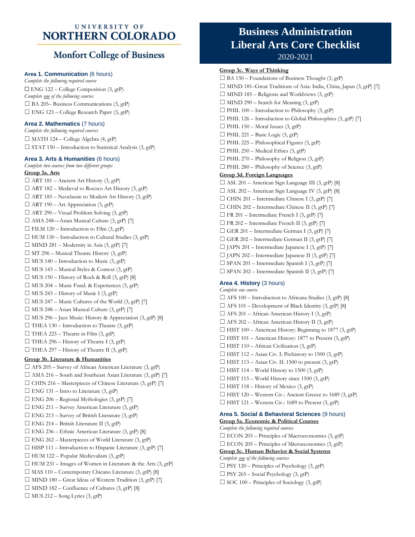## UNIVERSITY OF **NORTHERN COLORADO**

## **Monfort College of Business**

### **Area 1. Communication** (6 hours)

*Complete the following required course* ☐ ENG 122 – College Composition (3, gtP) *Complete one of the following courses*  $\Box$  BA 205– Business Communications (3, gtP)  $\Box$  ENG 123 – College Research Paper (3, gtP)

### **Area 2. Mathematics** (7 hours)

*Complete the following required courses*  $\Box$  MATH 124 – College Algebra (4, gtP)  $\Box$  STAT 150 – Introduction to Statistical Analysis (3, gtP)

#### **Area 3. Arts & Humanities** (6 hours)

*Complete two courses from two different groups* **Group 3a. Arts**  $\Box$  ART 181 – Ancient Art History (3, gtP)  $\Box$  ART 182 – Medieval to Rococo Art History (3, gtP)  $\Box$  ART 185 – Neoclassic to Modern Art History (3, gtP)  $\Box$  ART 190 – Art Appreciation (3, gtP)  $\Box$  ART 290 – Visual Problem Solving (3, gtP) ☐ ASIA 248—Asian Musical Culture (3, gtP) [7]  $\Box$  FILM 120 – Introduction to Film (3, gtP)  $\Box$  HUM 130 – Introduction to Cultural Studies (3, gtP)  $\Box$  MIND 281 – Modernity in Asia (3, gtP) [7]  $\Box$  MT 296 – Musical Theatre History (3, gtP)  $\Box$  MUS 140 – Introduction to Music (3, gtP)  $\Box$  MUS 143 – Musical Styles & Context (3, gtP)  $\Box$  MUS 150 – History of Rock & Roll (3, gtP) [8]  $\Box$  MUS 204 – Music Fund. & Experiences (3, gtP)  $\Box$  MUS 243 – History of Music I (3, gtP)  $\Box$  MUS 247 – Music Cultures of the World (3, gtP) [7]  $\Box$  MUS 248 – Asian Musical Culture (3, gtP) [7]  $\Box$  MUS 296 – Jazz Music: History & Appreciation (3, gtP) [8]  $\Box$  THEA 130 – Introduction to Theatre (3, gtP)  $\Box$  THEA 225 – Theatre in Film (3, gtP)  $\Box$  THEA 296 – History of Theatre I (3, gtP)  $\Box$  THEA 297 – History of Theatre II (3, gtP) **Group 3b. Literature & Humanities**  $\Box$  AFS 205 – Survey of African American Literature (3, gtP)  $\Box$  ASIA 216 – South and Southeast Asian Literature (3, gtP) [7]  $\Box$  CHIN 216 – Masterpieces of Chinese Literature (3, gtP) [7]  $\Box$  ENG 131 – Intro to Literature (3, gtP)  $\Box$  ENG 206 – Regional Mythologies (3, gtP) [7]  $\Box$  ENG 211 – Survey American Literature (3, gtP)  $\Box$  ENG 213 – Survey of British Literature (3, gtP)  $\Box$  ENG 214 – British Literature II (3, gtP)  $\Box$  ENG 236 – Ethnic American Literature (3, gtP) [8]  $\Box$  ENG 262 – Masterpieces of World Literature (3, gtP)  $\Box$  HISP 111 – Introduction to Hispanic Literature (3, gtP) [7]  $\Box$  HUM 122 – Popular Medievalism (3, gtP)  $\Box$  HUM 231 – Images of Women in Literature & the Arts (3, gtP)  $\Box$  MAS 110 – Contemporary Chicano Literature (3, gtP) [8]  $\Box$  MIND 180 – Great Ideas of Western Tradition (3, gtP) [7]  $\Box$  MIND 182 – Confluence of Cultures (3, gtP) [8]  $\Box$  MUS 212 – Song Lyrics (3, gtP)

# **Business Administration Liberal Arts Core Checklist** 2020-2021

#### **Group 3c. Ways of Thinking**

 $\Box$  BA 150 – Foundations of Business Thought (3, gtP) □ MIND 181–Great Traditions of Asia: India, China, Japan (3, gtP) [7]  $\Box$  MIND 185 – Religions and Worldviews (3, gtP)  $\Box$  MIND 290 – Search for Meaning (3, gtP)  $\Box$  PHIL 100 – Introduction to Philosophy (3, gtP)  $\Box$  PHIL 126 – Introduction to Global Philosophies (3, gtP) [7]  $\Box$  PHIL 150 – Moral Issues (3, gtP)  $\Box$  PHIL 221 – Basic Logic (3, gtP)  $\Box$  PHIL 225 – Philosophical Figures (3, gtP)  $\Box$  PHIL 250 – Medical Ethics (3, gtP)  $\Box$  PHIL 270 – Philosophy of Religion (3, gtP)  $\Box$  PHIL 280 – Philosophy of Science (3, gtP) **Group 3d. Foreign Languages**  $\Box$  ASL 201 – American Sign Language III (3, gtP) [8] ☐ ASL 202 – American Sign Language IV (3, gtP) [8]  $\Box$  CHIN 201 – Intermediate Chinese I (3, gtP) [7]  $\Box$  CHIN 202 – Intermediate Chinese II (3, gtP) [7]  $\Box$  FR 201 – Intermediate French I (3, gtP) [7]  $\Box$  FR 202 – Intermediate French II (3, gtP) [7]  $\Box$  GER 201 – Intermediate German I (3, gtP) [7]  $\Box$  GER 202 – Intermediate German II (3, gtP) [7]  $\Box$  JAPN 201 – Intermediate Japanese I (3, gtP) [7] ☐ JAPN 202 – Intermediate Japanese II (3, gtP) [7]  $\square$  SPAN 201 – Intermediate Spanish I (3, gtP) [7]  $\Box$  SPAN 202 – Intermediate Spanish II (3, gtP) [7] **Area 4. History** (3 hours)

*Complete one course*  $\Box$  AFS 100 – Introduction to Africana Studies (3, gtP) [8]  $\Box$  AFS 101 – Development of Black Identity (3, gtP) [8]  $\Box$  AFS 201 – African American History I (3, gtP)  $\Box$  AFS 202 – African American History II (3, gtP) ☐ HIST 100 – American History: Beginning to 1877 (3, gtP)  $\Box$  HIST 101 – American History: 1877 to Present (3, gtP)  $\Box$  HIST 110 – African Civilization (3, gtP)  $\Box$  HIST 112 – Asian Civ. I: Prehistory to 1500 (3, gtP)  $\Box$  HIST 113 – Asian Civ. II: 1500 to present (3, gtP)  $\Box$  HIST 114 – World History to 1500 (3, gtP)  $\Box$  HIST 115 – World History since 1500 (3, gtP)  $\Box$  HIST 118 – History of Mexico (3, gtP)  $\Box$  HIST 120 – Western Civ.: Ancient Greece to 1689 (3, gtP)  $\Box$  HIST 121 – Western Civ.: 1689 to Present (3, gtP)

#### **Area 5. Social & Behavioral Sciences** (9 hours) **Group 5a. Economic & Political Courses**

*Complete the following required courses*  $\square$  ECON 203 – Principles of Macroeconomics (3, gtP)  $\square$  ECON 205 – Principles of Microeconomics (3, gtP) **Group 5c. Human Behavior & Social Systems** *Complete one of the following courses* ☐ PSY 120 – Principles of Psychology (3, gtP)  $\Box$  PSY 265 – Social Psychology (3, gtP)  $\Box$  SOC 100 – Principles of Sociology (3, gtP)